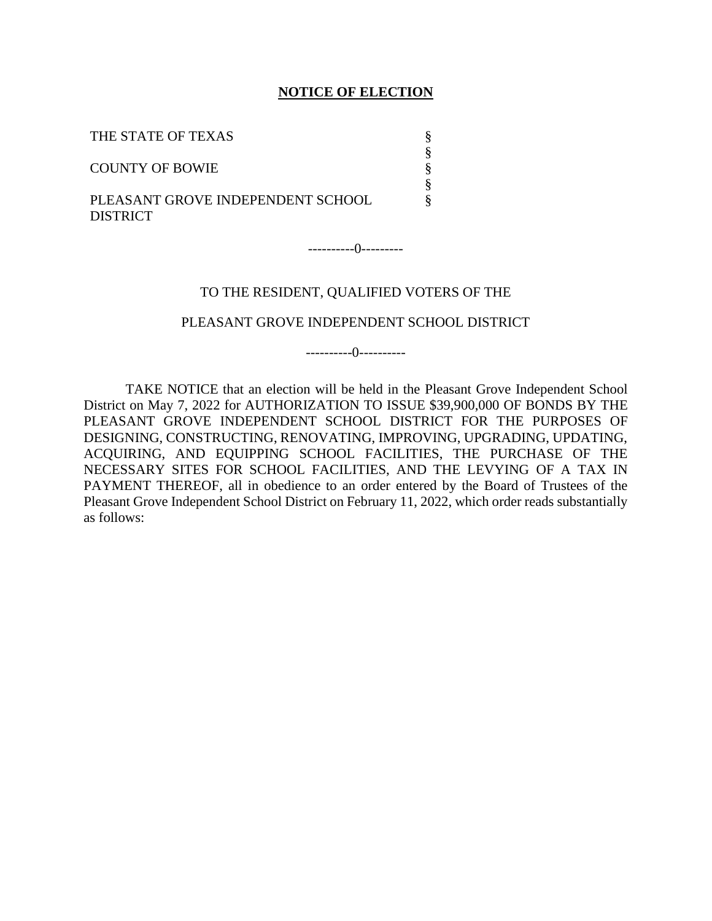#### **NOTICE OF ELECTION**

| THE STATE OF TEXAS                                   |  |
|------------------------------------------------------|--|
| <b>COUNTY OF BOWIE</b>                               |  |
| PLEASANT GROVE INDEPENDENT SCHOOL<br><b>DISTRICT</b> |  |

----------0---------

#### TO THE RESIDENT, QUALIFIED VOTERS OF THE

#### PLEASANT GROVE INDEPENDENT SCHOOL DISTRICT

----------0----------

TAKE NOTICE that an election will be held in the Pleasant Grove Independent School District on May 7, 2022 for AUTHORIZATION TO ISSUE \$39,900,000 OF BONDS BY THE PLEASANT GROVE INDEPENDENT SCHOOL DISTRICT FOR THE PURPOSES OF DESIGNING, CONSTRUCTING, RENOVATING, IMPROVING, UPGRADING, UPDATING, ACQUIRING, AND EQUIPPING SCHOOL FACILITIES, THE PURCHASE OF THE NECESSARY SITES FOR SCHOOL FACILITIES, AND THE LEVYING OF A TAX IN PAYMENT THEREOF, all in obedience to an order entered by the Board of Trustees of the Pleasant Grove Independent School District on February 11, 2022, which order reads substantially as follows: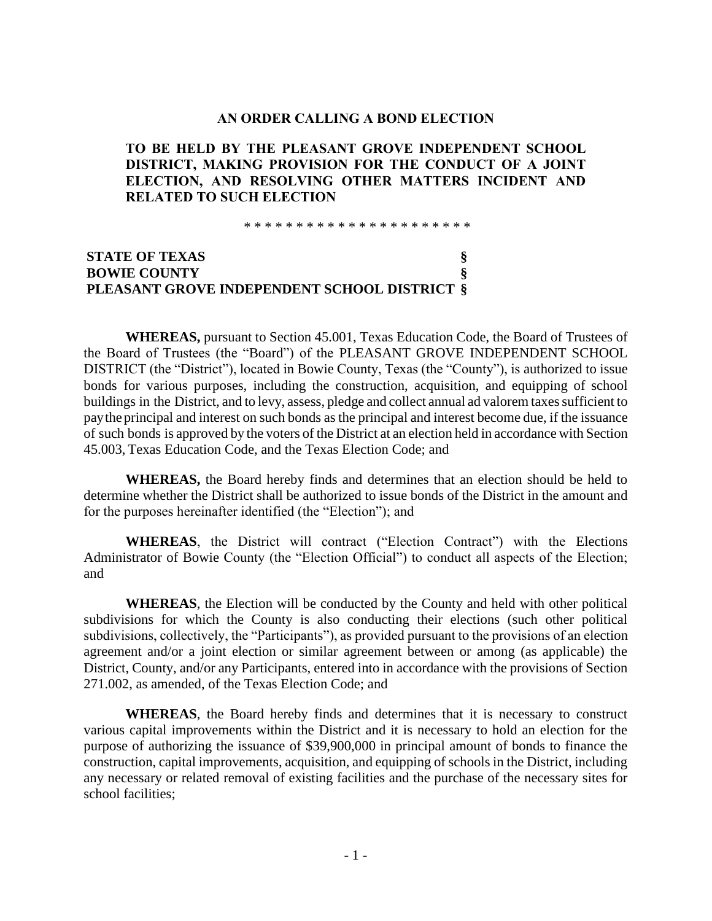#### **AN ORDER CALLING A BOND ELECTION**

### **TO BE HELD BY THE PLEASANT GROVE INDEPENDENT SCHOOL DISTRICT, MAKING PROVISION FOR THE CONDUCT OF A JOINT ELECTION, AND RESOLVING OTHER MATTERS INCIDENT AND RELATED TO SUCH ELECTION**

\* \* \* \* \* \* \* \* \* \* \* \* \* \* \* \* \* \* \* \* \* \*

## **STATE OF TEXAS § BOWIE COUNTY § PLEASANT GROVE INDEPENDENT SCHOOL DISTRICT §**

**WHEREAS,** pursuant to Section 45.001, Texas Education Code, the Board of Trustees of the Board of Trustees (the "Board") of the PLEASANT GROVE INDEPENDENT SCHOOL DISTRICT (the "District"), located in Bowie County, Texas (the "County"), is authorized to issue bonds for various purposes, including the construction, acquisition, and equipping of school buildings in the District, and to levy, assess, pledge and collect annual ad valorem taxes sufficient to paythe principal and interest on such bonds as the principal and interest become due, if the issuance of such bonds is approved by the voters of the District at an election held in accordance with Section 45.003, Texas Education Code, and the Texas Election Code; and

**WHEREAS,** the Board hereby finds and determines that an election should be held to determine whether the District shall be authorized to issue bonds of the District in the amount and for the purposes hereinafter identified (the "Election"); and

**WHEREAS**, the District will contract ("Election Contract") with the Elections Administrator of Bowie County (the "Election Official") to conduct all aspects of the Election; and

**WHEREAS**, the Election will be conducted by the County and held with other political subdivisions for which the County is also conducting their elections (such other political subdivisions, collectively, the "Participants"), as provided pursuant to the provisions of an election agreement and/or a joint election or similar agreement between or among (as applicable) the District, County, and/or any Participants, entered into in accordance with the provisions of Section 271.002, as amended, of the Texas Election Code; and

**WHEREAS**, the Board hereby finds and determines that it is necessary to construct various capital improvements within the District and it is necessary to hold an election for the purpose of authorizing the issuance of \$39,900,000 in principal amount of bonds to finance the construction, capital improvements, acquisition, and equipping of schools in the District, including any necessary or related removal of existing facilities and the purchase of the necessary sites for school facilities;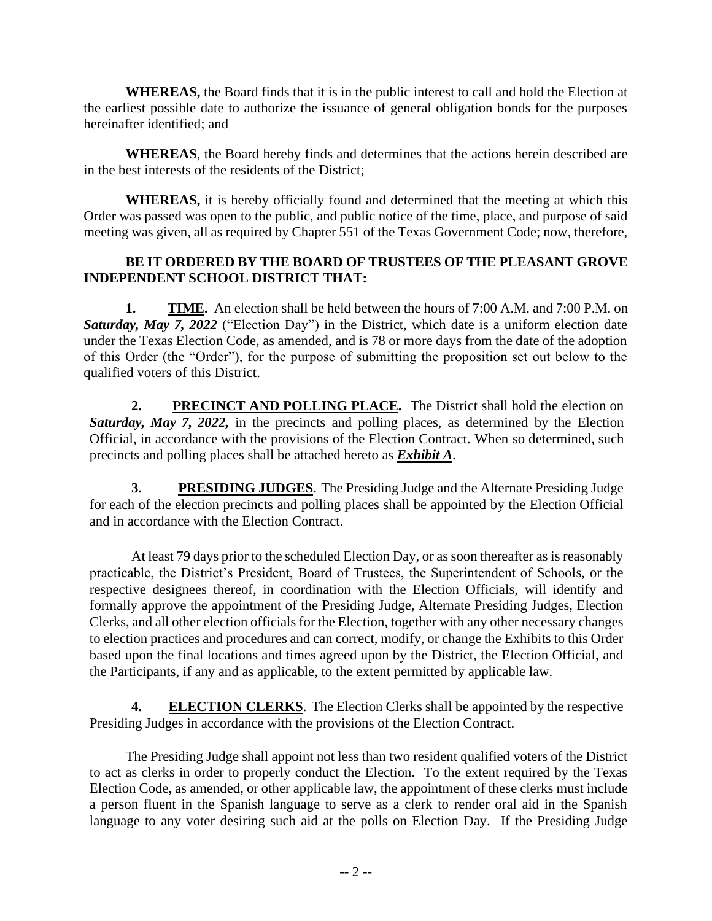**WHEREAS,** the Board finds that it is in the public interest to call and hold the Election at the earliest possible date to authorize the issuance of general obligation bonds for the purposes hereinafter identified; and

**WHEREAS**, the Board hereby finds and determines that the actions herein described are in the best interests of the residents of the District;

**WHEREAS,** it is hereby officially found and determined that the meeting at which this Order was passed was open to the public, and public notice of the time, place, and purpose of said meeting was given, all as required by Chapter 551 of the Texas Government Code; now, therefore,

## **BE IT ORDERED BY THE BOARD OF TRUSTEES OF THE PLEASANT GROVE INDEPENDENT SCHOOL DISTRICT THAT:**

**1. TIME.** An election shall be held between the hours of 7:00 A.M. and 7:00 P.M. on *Saturday, May 7, 2022* ("Election Day") in the District, which date is a uniform election date under the Texas Election Code, as amended, and is 78 or more days from the date of the adoption of this Order (the "Order"), for the purpose of submitting the proposition set out below to the qualified voters of this District.

**2. PRECINCT AND POLLING PLACE.** The District shall hold the election on *Saturday, May 7, 2022,* in the precincts and polling places, as determined by the Election Official, in accordance with the provisions of the Election Contract. When so determined, such precincts and polling places shall be attached hereto as *Exhibit A*.

**3. PRESIDING JUDGES**. The Presiding Judge and the Alternate Presiding Judge for each of the election precincts and polling places shall be appointed by the Election Official and in accordance with the Election Contract.

At least 79 days prior to the scheduled Election Day, or as soon thereafter as is reasonably practicable, the District's President, Board of Trustees, the Superintendent of Schools, or the respective designees thereof, in coordination with the Election Officials, will identify and formally approve the appointment of the Presiding Judge, Alternate Presiding Judges, Election Clerks, and all other election officials for the Election, together with any other necessary changes to election practices and procedures and can correct, modify, or change the Exhibits to this Order based upon the final locations and times agreed upon by the District, the Election Official, and the Participants, if any and as applicable, to the extent permitted by applicable law.

**4. ELECTION CLERKS**. The Election Clerks shall be appointed by the respective Presiding Judges in accordance with the provisions of the Election Contract.

The Presiding Judge shall appoint not less than two resident qualified voters of the District to act as clerks in order to properly conduct the Election. To the extent required by the Texas Election Code, as amended, or other applicable law, the appointment of these clerks must include a person fluent in the Spanish language to serve as a clerk to render oral aid in the Spanish language to any voter desiring such aid at the polls on Election Day. If the Presiding Judge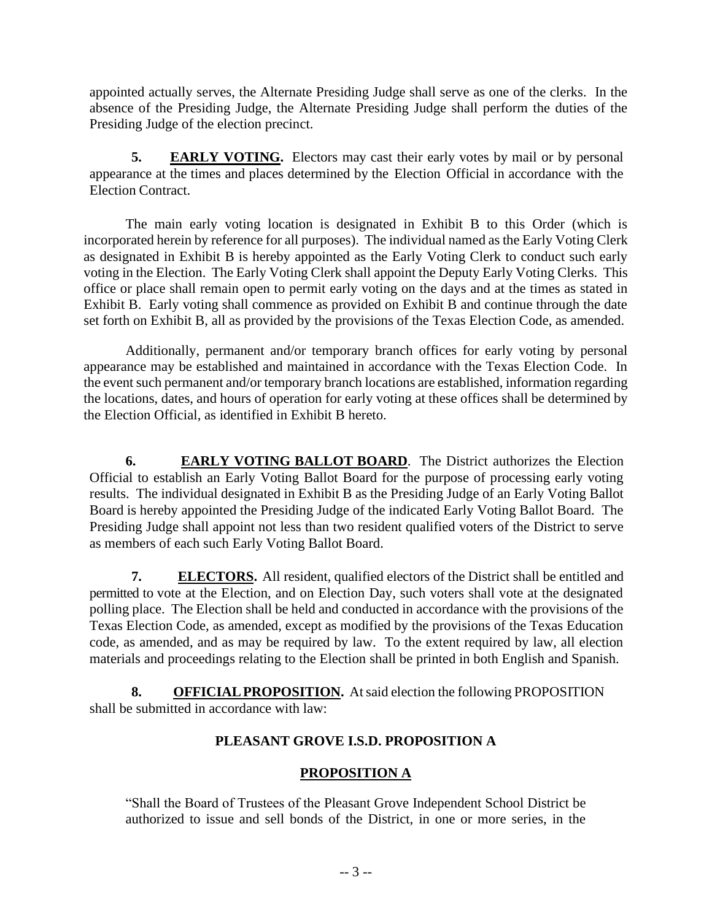appointed actually serves, the Alternate Presiding Judge shall serve as one of the clerks. In the absence of the Presiding Judge, the Alternate Presiding Judge shall perform the duties of the Presiding Judge of the election precinct.

**5. EARLY VOTING.** Electors may cast their early votes by mail or by personal appearance at the times and places determined by the Election Official in accordance with the Election Contract.

The main early voting location is designated in Exhibit B to this Order (which is incorporated herein by reference for all purposes). The individual named as the Early Voting Clerk as designated in Exhibit B is hereby appointed as the Early Voting Clerk to conduct such early voting in the Election. The Early Voting Clerk shall appoint the Deputy Early Voting Clerks. This office or place shall remain open to permit early voting on the days and at the times as stated in Exhibit B. Early voting shall commence as provided on Exhibit B and continue through the date set forth on Exhibit B, all as provided by the provisions of the Texas Election Code, as amended.

Additionally, permanent and/or temporary branch offices for early voting by personal appearance may be established and maintained in accordance with the Texas Election Code. In the event such permanent and/or temporary branch locations are established, information regarding the locations, dates, and hours of operation for early voting at these offices shall be determined by the Election Official, as identified in Exhibit B hereto.

**6. EARLY VOTING BALLOT BOARD**. The District authorizes the Election Official to establish an Early Voting Ballot Board for the purpose of processing early voting results. The individual designated in Exhibit B as the Presiding Judge of an Early Voting Ballot Board is hereby appointed the Presiding Judge of the indicated Early Voting Ballot Board. The Presiding Judge shall appoint not less than two resident qualified voters of the District to serve as members of each such Early Voting Ballot Board.

**7. ELECTORS.** All resident, qualified electors of the District shall be entitled and permitted to vote at the Election, and on Election Day, such voters shall vote at the designated polling place. The Election shall be held and conducted in accordance with the provisions of the Texas Election Code, as amended, except as modified by the provisions of the Texas Education code, as amended, and as may be required by law. To the extent required by law, all election materials and proceedings relating to the Election shall be printed in both English and Spanish.

**8. OFFICIAL PROPOSITION.** At said election the following PROPOSITION shall be submitted in accordance with law:

# **PLEASANT GROVE I.S.D. PROPOSITION A**

# **PROPOSITION A**

"Shall the Board of Trustees of the Pleasant Grove Independent School District be authorized to issue and sell bonds of the District, in one or more series, in the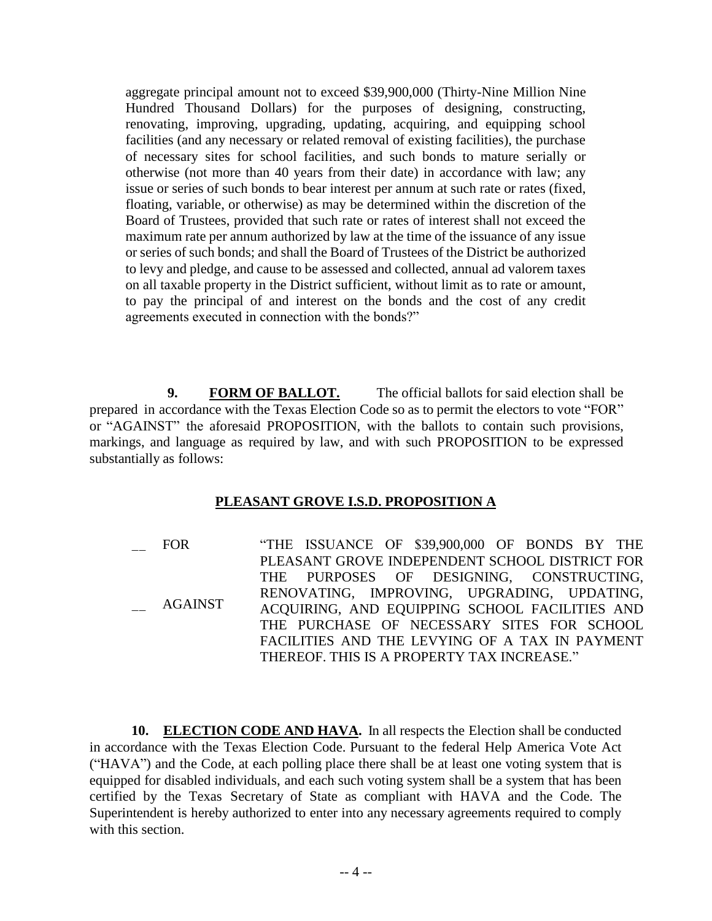aggregate principal amount not to exceed \$39,900,000 (Thirty-Nine Million Nine Hundred Thousand Dollars) for the purposes of designing, constructing, renovating, improving, upgrading, updating, acquiring, and equipping school facilities (and any necessary or related removal of existing facilities), the purchase of necessary sites for school facilities, and such bonds to mature serially or otherwise (not more than 40 years from their date) in accordance with law; any issue or series of such bonds to bear interest per annum at such rate or rates (fixed, floating, variable, or otherwise) as may be determined within the discretion of the Board of Trustees, provided that such rate or rates of interest shall not exceed the maximum rate per annum authorized by law at the time of the issuance of any issue or series of such bonds; and shall the Board of Trustees of the District be authorized to levy and pledge, and cause to be assessed and collected, annual ad valorem taxes on all taxable property in the District sufficient, without limit as to rate or amount, to pay the principal of and interest on the bonds and the cost of any credit agreements executed in connection with the bonds?"

**9. FORM OF BALLOT.** The official ballots for said election shall be prepared in accordance with the Texas Election Code so as to permit the electors to vote "FOR" or "AGAINST" the aforesaid PROPOSITION, with the ballots to contain such provisions, markings, and language as required by law, and with such PROPOSITION to be expressed substantially as follows:

## **PLEASANT GROVE I.S.D. PROPOSITION A**

 $\overline{\phantom{a}}$  $\overline{\phantom{a}}$ FOR AGAINST "THE ISSUANCE OF \$39,900,000 OF BONDS BY THE PLEASANT GROVE INDEPENDENT SCHOOL DISTRICT FOR THE PURPOSES OF DESIGNING, CONSTRUCTING, RENOVATING, IMPROVING, UPGRADING, UPDATING, ACQUIRING, AND EQUIPPING SCHOOL FACILITIES AND THE PURCHASE OF NECESSARY SITES FOR SCHOOL FACILITIES AND THE LEVYING OF A TAX IN PAYMENT THEREOF. THIS IS A PROPERTY TAX INCREASE."

10. ELECTION CODE AND HAVA. In all respects the Election shall be conducted equipped for disabled individuals, and each such voting system sharp of a system that has been<br>certified by the Texas Secretary of State as compliant with HAVA and the Code. The in accordance with the Texas Election Code. Pursuant to the federal Help America Vote Act ("HAVA") and the Code, at each polling place there shall be at least one voting system that is equipped for disabled individuals, and each such voting system shall be a system that has been Superintendent is hereby authorized to enter into any necessary agreements required to comply with this section.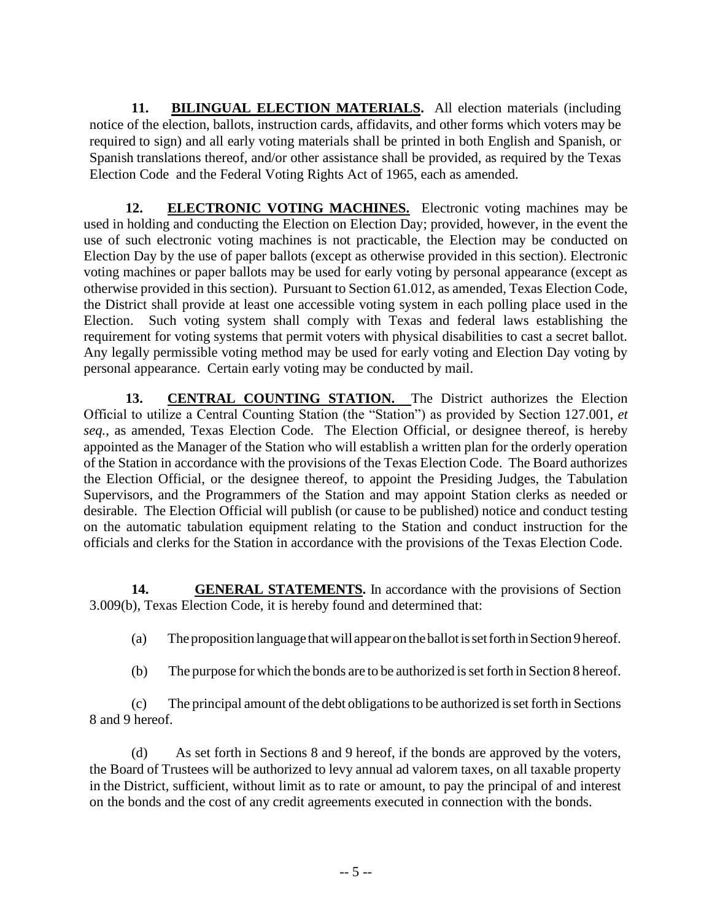11. BILINGUAL ELECTION MATERIALS. All election materials (including notice of the election, ballots, instruction cards, affidavits, and other forms which voters may be required to sign) and all early voting materials shall be printed in both English and Spanish, or Spanish translations thereof, and/or other assistance shall be provided, as required by the Texas Election Code and the Federal Voting Rights Act of 1965, each as amended.

12. **ELECTRONIC VOTING MACHINES.** Electronic voting machines may be used in holding and conducting the Election on Election Day; provided, however, in the event the use of such electronic voting machines is not practicable, the Election may be conducted on Election Day by the use of paper ballots (except as otherwise provided in this section). Electronic voting machines or paper ballots may be used for early voting by personal appearance (except as otherwise provided in this section). Pursuant to Section 61.012, as amended, Texas Election Code, the District shall provide at least one accessible voting system in each polling place used in the Election. Such voting system shall comply with Texas and federal laws establishing the requirement for voting systems that permit voters with physical disabilities to cast a secret ballot. Any legally permissible voting method may be used for early voting and Election Day voting by personal appearance. Certain early voting may be conducted by mail.

**13. CENTRAL COUNTING STATION.** The District authorizes the Election Official to utilize a Central Counting Station (the "Station") as provided by Section 127.001, *et seq.*, as amended, Texas Election Code. The Election Official, or designee thereof, is hereby appointed as the Manager of the Station who will establish a written plan for the orderly operation of the Station in accordance with the provisions of the Texas Election Code. The Board authorizes the Election Official, or the designee thereof, to appoint the Presiding Judges, the Tabulation Supervisors, and the Programmers of the Station and may appoint Station clerks as needed or desirable. The Election Official will publish (or cause to be published) notice and conduct testing on the automatic tabulation equipment relating to the Station and conduct instruction for the officials and clerks for the Station in accordance with the provisions of the Texas Election Code.

**14. GENERAL STATEMENTS.** In accordance with the provisions of Section 3.009(b), Texas Election Code, it is hereby found and determined that:

(a) Theproposition language thatwill appearon theballotissetforthinSection9hereof.

(b) The purpose for which the bonds are to be authorized is set forth in Section 8 hereof.

(c) The principal amount of the debt obligationsto be authorized isset forth in Sections 8 and 9 hereof.

(d) As set forth in Sections 8 and 9 hereof, if the bonds are approved by the voters, the Board of Trustees will be authorized to levy annual ad valorem taxes, on all taxable property in the District, sufficient, without limit as to rate or amount, to pay the principal of and interest on the bonds and the cost of any credit agreements executed in connection with the bonds.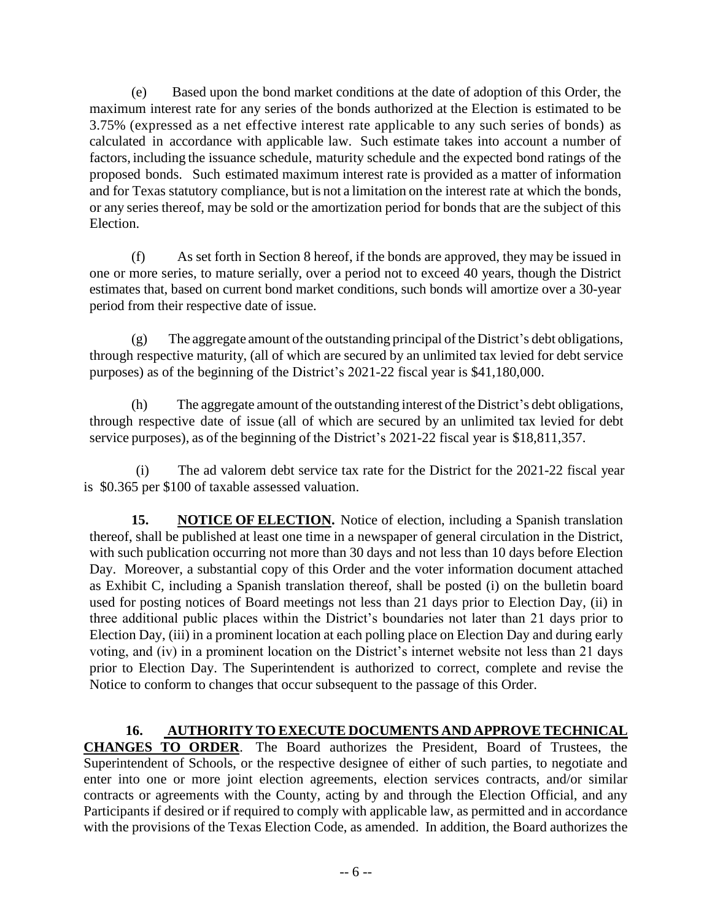(e) Based upon the bond market conditions at the date of adoption of this Order, the maximum interest rate for any series of the bonds authorized at the Election is estimated to be 3.75% (expressed as a net effective interest rate applicable to any such series of bonds) as calculated in accordance with applicable law. Such estimate takes into account a number of factors, including the issuance schedule, maturity schedule and the expected bond ratings of the proposed bonds. Such estimated maximum interest rate is provided as a matter of information and for Texas statutory compliance, but is not a limitation on the interest rate at which the bonds, or any series thereof, may be sold or the amortization period for bonds that are the subject of this Election.

(f) As set forth in Section 8 hereof, if the bonds are approved, they may be issued in one or more series, to mature serially, over a period not to exceed 40 years, though the District estimates that, based on current bond market conditions, such bonds will amortize over a 30-year period from their respective date of issue.

 $(g)$  The aggregate amount of the outstanding principal of the District's debt obligations, through respective maturity, (all of which are secured by an unlimited tax levied for debt service purposes) as of the beginning of the District's 2021-22 fiscal year is \$41,180,000.

(h) The aggregate amount of the outstanding interest of the District's debt obligations, through respective date of issue (all of which are secured by an unlimited tax levied for debt service purposes), as of the beginning of the District's 2021-22 fiscal year is \$18,811,357.

(i) The ad valorem debt service tax rate for the District for the 2021-22 fiscal year is \$0.365 per \$100 of taxable assessed valuation.

**15. NOTICE OF ELECTION.** Notice of election, including a Spanish translation thereof, shall be published at least one time in a newspaper of general circulation in the District, with such publication occurring not more than 30 days and not less than 10 days before Election Day. Moreover, a substantial copy of this Order and the voter information document attached as Exhibit C, including a Spanish translation thereof, shall be posted (i) on the bulletin board used for posting notices of Board meetings not less than 21 days prior to Election Day, (ii) in three additional public places within the District's boundaries not later than 21 days prior to Election Day, (iii) in a prominent location at each polling place on Election Day and during early voting, and (iv) in a prominent location on the District's internet website not less than 21 days prior to Election Day. The Superintendent is authorized to correct, complete and revise the Notice to conform to changes that occur subsequent to the passage of this Order.

**16. AUTHORITY TO EXECUTE DOCUMENTS AND APPROVE TECHNICAL CHANGES TO ORDER**. The Board authorizes the President, Board of Trustees, the Superintendent of Schools, or the respective designee of either of such parties, to negotiate and enter into one or more joint election agreements, election services contracts, and/or similar contracts or agreements with the County, acting by and through the Election Official, and any Participants if desired or if required to comply with applicable law, as permitted and in accordance with the provisions of the Texas Election Code, as amended. In addition, the Board authorizes the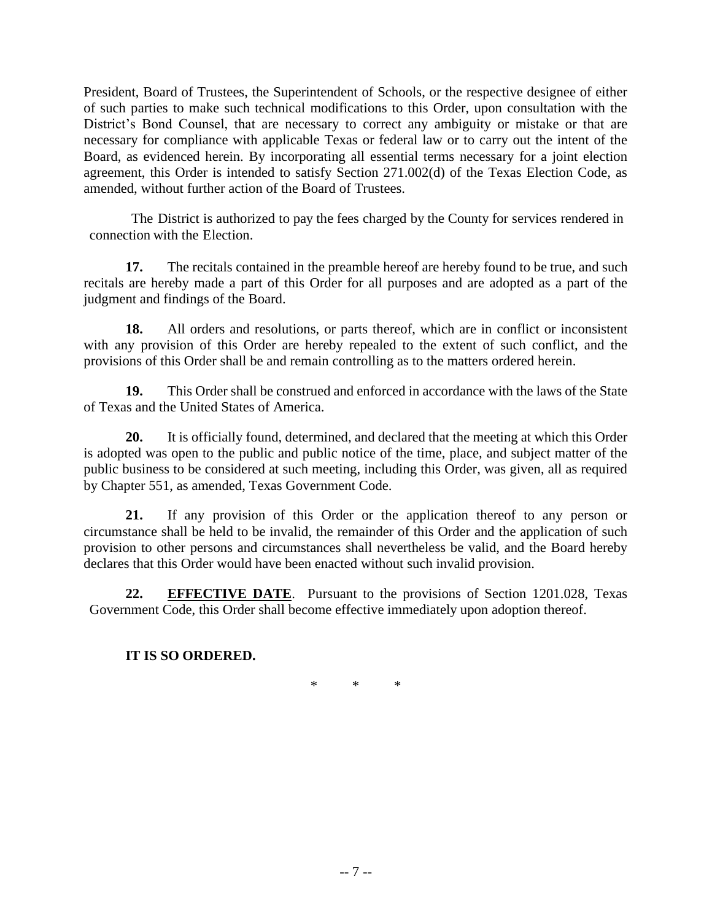President, Board of Trustees, the Superintendent of Schools, or the respective designee of either of such parties to make such technical modifications to this Order, upon consultation with the District's Bond Counsel, that are necessary to correct any ambiguity or mistake or that are necessary for compliance with applicable Texas or federal law or to carry out the intent of the Board, as evidenced herein. By incorporating all essential terms necessary for a joint election agreement, this Order is intended to satisfy Section 271.002(d) of the Texas Election Code, as amended, without further action of the Board of Trustees.

The District is authorized to pay the fees charged by the County for services rendered in connection with the Election.

**17.** The recitals contained in the preamble hereof are hereby found to be true, and such recitals are hereby made a part of this Order for all purposes and are adopted as a part of the judgment and findings of the Board.

**18.** All orders and resolutions, or parts thereof, which are in conflict or inconsistent with any provision of this Order are hereby repealed to the extent of such conflict, and the provisions of this Order shall be and remain controlling as to the matters ordered herein.

**19.** This Order shall be construed and enforced in accordance with the laws of the State of Texas and the United States of America.

**20.** It is officially found, determined, and declared that the meeting at which this Order is adopted was open to the public and public notice of the time, place, and subject matter of the public business to be considered at such meeting, including this Order, was given, all as required by Chapter 551, as amended, Texas Government Code.

**21.** If any provision of this Order or the application thereof to any person or circumstance shall be held to be invalid, the remainder of this Order and the application of such provision to other persons and circumstances shall nevertheless be valid, and the Board hereby declares that this Order would have been enacted without such invalid provision.

**22. EFFECTIVE DATE**. Pursuant to the provisions of Section 1201.028, Texas Government Code, this Order shall become effective immediately upon adoption thereof.

## **IT IS SO ORDERED.**

\* \* \*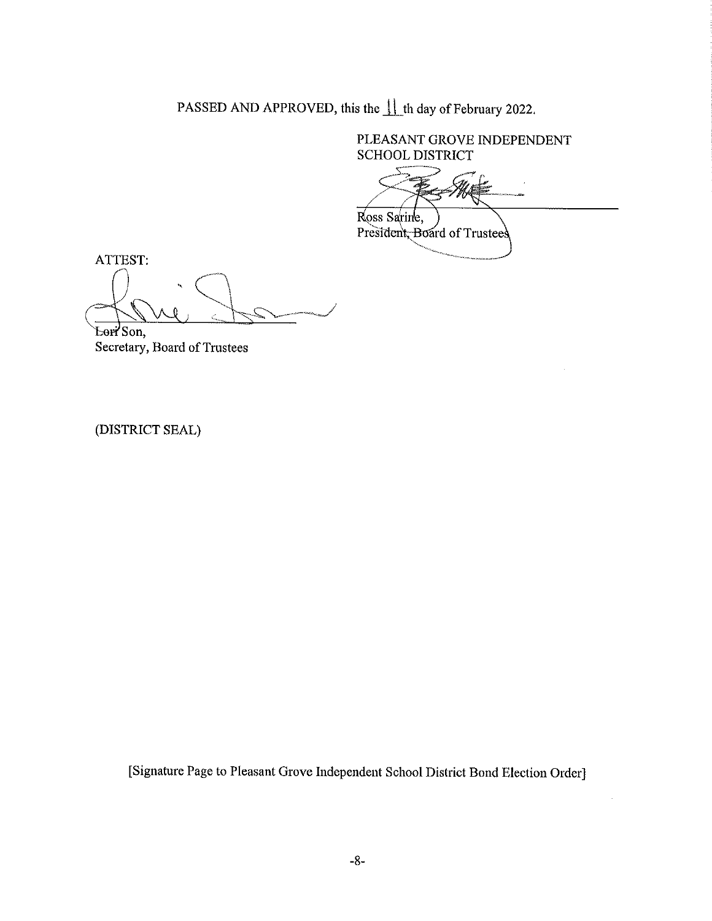PASSED AND APPROVED, this the 11 th day of February 2022.

PLEASANT GROVE INDEPENDENT **SCHOOL DISTRICT** 

Ross Sarine,

President, Board of Trustees

ATTEST:

Lori Son,

Secretary, Board of Trustees

(DISTRICT SEAL)

[Signature Page to Pleasant Grove Independent School District Bond Election Order]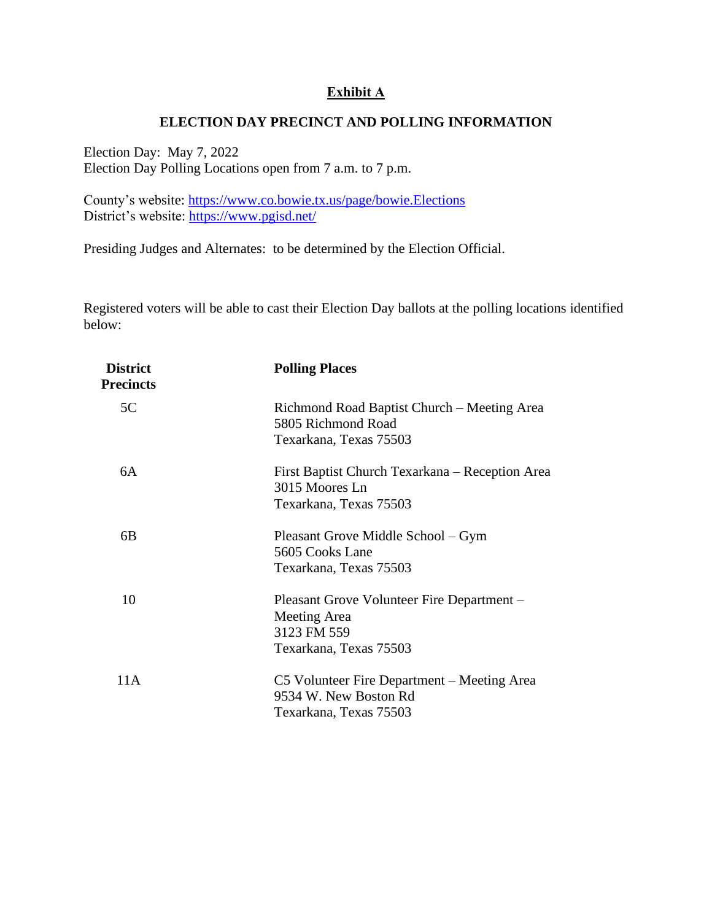### **Exhibit A**

### **ELECTION DAY PRECINCT AND POLLING INFORMATION**

Election Day: May 7, 2022 Election Day Polling Locations open from 7 a.m. to 7 p.m.

County's website:<https://www.co.bowie.tx.us/page/bowie.Elections> District's website:<https://www.pgisd.net/>

Presiding Judges and Alternates: to be determined by the Election Official.

Registered voters will be able to cast their Election Day ballots at the polling locations identified below:

| <b>District</b><br><b>Precincts</b> | <b>Polling Places</b>                                                                               |
|-------------------------------------|-----------------------------------------------------------------------------------------------------|
| 5C                                  | Richmond Road Baptist Church – Meeting Area<br>5805 Richmond Road<br>Texarkana, Texas 75503         |
| 6A                                  | First Baptist Church Texarkana – Reception Area<br>3015 Moores Ln<br>Texarkana, Texas 75503         |
| 6B                                  | Pleasant Grove Middle School – Gym<br>5605 Cooks Lane<br>Texarkana, Texas 75503                     |
| 10                                  | Pleasant Grove Volunteer Fire Department –<br>Meeting Area<br>3123 FM 559<br>Texarkana, Texas 75503 |
| 11A                                 | C5 Volunteer Fire Department – Meeting Area<br>9534 W. New Boston Rd<br>Texarkana, Texas 75503      |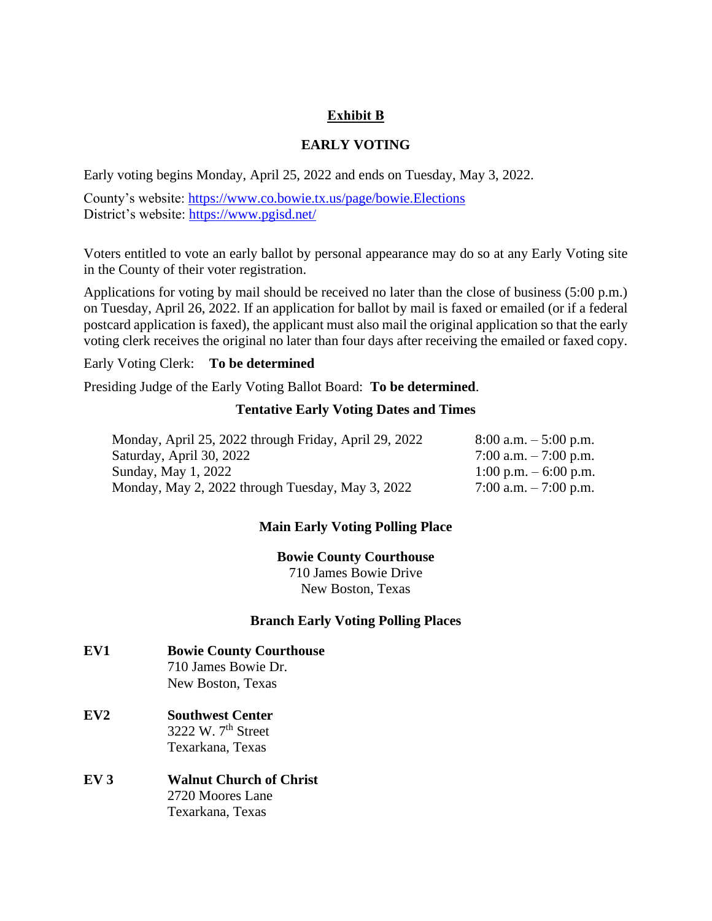## **Exhibit B**

## **EARLY VOTING**

Early voting begins Monday, April 25, 2022 and ends on Tuesday, May 3, 2022.

County's website:<https://www.co.bowie.tx.us/page/bowie.Elections> District's website:<https://www.pgisd.net/>

Voters entitled to vote an early ballot by personal appearance may do so at any Early Voting site in the County of their voter registration.

Applications for voting by mail should be received no later than the close of business (5:00 p.m.) on Tuesday, April 26, 2022. If an application for ballot by mail is faxed or emailed (or if a federal postcard application is faxed), the applicant must also mail the original application so that the early voting clerk receives the original no later than four days after receiving the emailed or faxed copy.

#### Early Voting Clerk: **To be determined**

Presiding Judge of the Early Voting Ballot Board: **To be determined**.

#### **Tentative Early Voting Dates and Times**

| Monday, April 25, 2022 through Friday, April 29, 2022 | $8:00$ a.m. $-5:00$ p.m. |
|-------------------------------------------------------|--------------------------|
| Saturday, April 30, 2022                              | 7:00 a.m. $-7:00$ p.m.   |
| Sunday, May 1, 2022                                   | 1:00 p.m. $-6:00$ p.m.   |
| Monday, May 2, 2022 through Tuesday, May 3, 2022      | 7:00 a.m. $-7:00$ p.m.   |

### **Main Early Voting Polling Place**

**Bowie County Courthouse** 710 James Bowie Drive New Boston, Texas

### **Branch Early Voting Polling Places**

- **EV1 Bowie County Courthouse** 710 James Bowie Dr. New Boston, Texas
- **EV2 Southwest Center** 3222 W. 7th Street Texarkana, Texas
- **EV 3 Walnut Church of Christ** 2720 Moores Lane Texarkana, Texas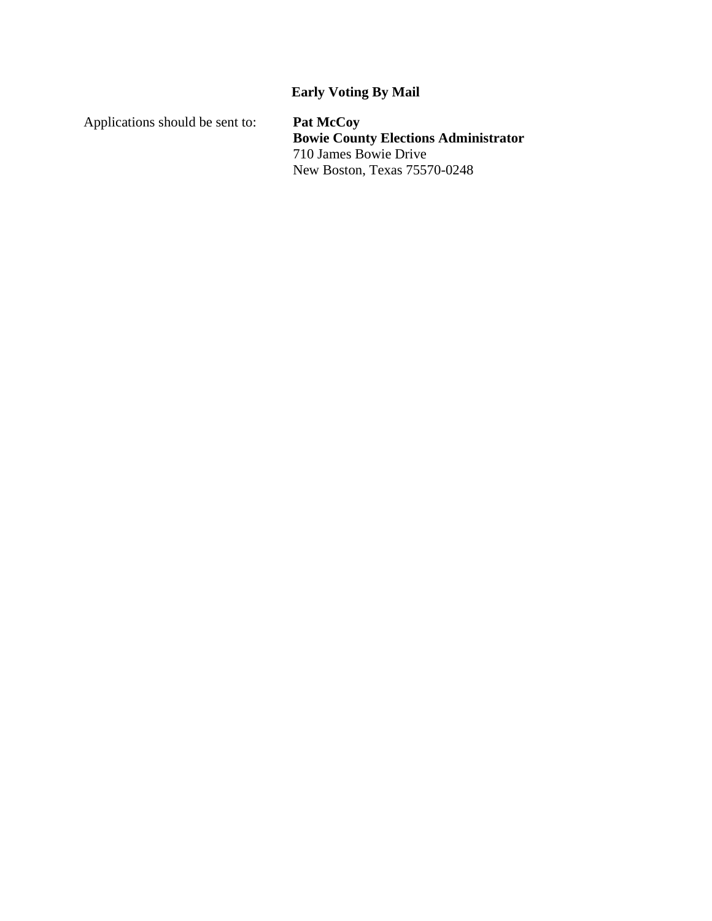# **Early Voting By Mail**

Applications should be sent to: **Pat McCoy**

**Bowie County Elections Administrator** 710 James Bowie Drive New Boston, Texas 75570-0248